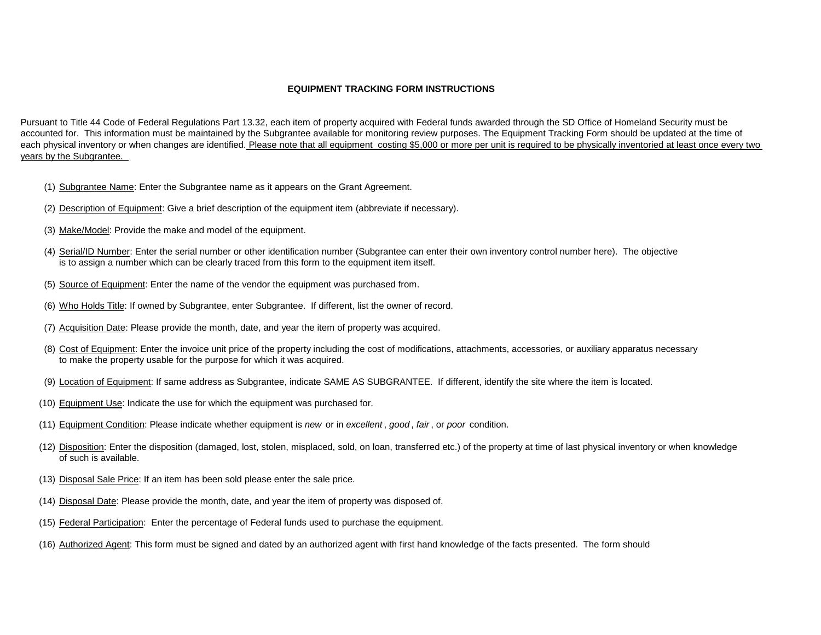## **EQUIPMENT TRACKING FORM INSTRUCTIONS**

Pursuant to Title 44 Code of Federal Regulations Part 13.32, each item of property acquired with Federal funds awarded through the SD Office of Homeland Security must be accounted for. This information must be maintained by the Subgrantee available for monitoring review purposes. The Equipment Tracking Form should be updated at the time of each physical inventory or when changes are identified. Please note that all equipment costing \$5,000 or more per unit is required to be physically inventoried at least once every two years by the Subgrantee.

- (1) Subgrantee Name: Enter the Subgrantee name as it appears on the Grant Agreement.
- (2) Description of Equipment: Give a brief description of the equipment item (abbreviate if necessary).
- (3) Make/Model: Provide the make and model of the equipment.
- (4) Serial/ID Number: Enter the serial number or other identification number (Subgrantee can enter their own inventory control number here). The objective is to assign a number which can be clearly traced from this form to the equipment item itself.
- (5) Source of Equipment: Enter the name of the vendor the equipment was purchased from.
- (6) Who Holds Title: If owned by Subgrantee, enter Subgrantee. If different, list the owner of record.
- (7) Acquisition Date: Please provide the month, date, and year the item of property was acquired.
- (8) Cost of Equipment: Enter the invoice unit price of the property including the cost of modifications, attachments, accessories, or auxiliary apparatus necessary to make the property usable for the purpose for which it was acquired.
- (9) Location of Equipment: If same address as Subgrantee, indicate SAME AS SUBGRANTEE. If different, identify the site where the item is located.
- (10) Equipment Use: Indicate the use for which the equipment was purchased for.
- (11) Equipment Condition: Please indicate whether equipment is *new* or in *excellent* , *good* , *fair* , or *poor* condition.
- (12) Disposition: Enter the disposition (damaged, lost, stolen, misplaced, sold, on loan, transferred etc.) of the property at time of last physical inventory or when knowledge of such is available.
- (13) Disposal Sale Price: If an item has been sold please enter the sale price.
- (14) Disposal Date: Please provide the month, date, and year the item of property was disposed of.
- (15) Federal Participation: Enter the percentage of Federal funds used to purchase the equipment.
- (16) Authorized Agent: This form must be signed and dated by an authorized agent with first hand knowledge of the facts presented. The form should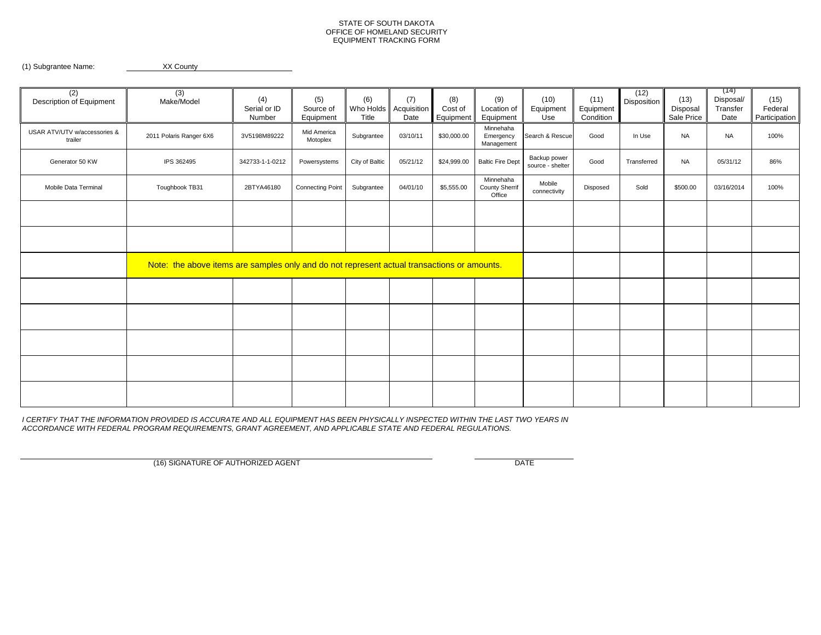## STATE OF SOUTH DAKOTA OFFICE OF HOMELAND SECURITY EQUIPMENT TRACKING FORM

(1) Subgrantee Name: XX County

| (2)<br>Description of Equipment         | (3)<br>Make/Model                                                                           | (4)<br>Serial or ID<br>Number | (5)<br>Source of<br>Equipment | (6)<br>Title   | (7)<br>Who Holds Acquisition<br>Date | (8)<br>Cost of<br>Equipment | (9)<br>Location of<br>Equipment              | (10)<br>Equipment<br>Use         | (11)<br>Equipment<br>Condition | (12)<br>Disposition | (13)<br>Disposal<br>Sale Price | (14)<br>Disposal/<br>Transfer<br>Date | (15)<br>Federal<br>Participation |
|-----------------------------------------|---------------------------------------------------------------------------------------------|-------------------------------|-------------------------------|----------------|--------------------------------------|-----------------------------|----------------------------------------------|----------------------------------|--------------------------------|---------------------|--------------------------------|---------------------------------------|----------------------------------|
| USAR ATV/UTV w/accessories &<br>trailer | 2011 Polaris Ranger 6X6                                                                     | 3V5198M89222                  | Mid America<br>Motoplex       | Subgrantee     | 03/10/11                             | \$30,000.00                 | Minnehaha<br>Emergency<br>Management         | Search & Rescue                  | Good                           | In Use              | <b>NA</b>                      | <b>NA</b>                             | 100%                             |
| Generator 50 KW                         | IPS 362495                                                                                  | 342733-1-1-0212               | Powersystems                  | City of Baltic | 05/21/12                             | \$24,999.00                 | <b>Baltic Fire Dept</b>                      | Backup power<br>source - shelter | Good                           | Transferred         | <b>NA</b>                      | 05/31/12                              | 86%                              |
| Mobile Data Terminal                    | Toughbook TB31                                                                              | 2BTYA46180                    | <b>Connecting Point</b>       | Subgrantee     | 04/01/10                             | \$5,555.00                  | Minnehaha<br><b>County Sherrif</b><br>Office | Mobile<br>connectivity           | Disposed                       | Sold                | \$500.00                       | 03/16/2014                            | 100%                             |
|                                         |                                                                                             |                               |                               |                |                                      |                             |                                              |                                  |                                |                     |                                |                                       |                                  |
|                                         |                                                                                             |                               |                               |                |                                      |                             |                                              |                                  |                                |                     |                                |                                       |                                  |
|                                         | Note: the above items are samples only and do not represent actual transactions or amounts. |                               |                               |                |                                      |                             |                                              |                                  |                                |                     |                                |                                       |                                  |
|                                         |                                                                                             |                               |                               |                |                                      |                             |                                              |                                  |                                |                     |                                |                                       |                                  |
|                                         |                                                                                             |                               |                               |                |                                      |                             |                                              |                                  |                                |                     |                                |                                       |                                  |
|                                         |                                                                                             |                               |                               |                |                                      |                             |                                              |                                  |                                |                     |                                |                                       |                                  |
|                                         |                                                                                             |                               |                               |                |                                      |                             |                                              |                                  |                                |                     |                                |                                       |                                  |
|                                         |                                                                                             |                               |                               |                |                                      |                             |                                              |                                  |                                |                     |                                |                                       |                                  |

*I CERTIFY THAT THE INFORMATION PROVIDED IS ACCURATE AND ALL EQUIPMENT HAS BEEN PHYSICALLY INSPECTED WITHIN THE LAST TWO YEARS IN ACCORDANCE WITH FEDERAL PROGRAM REQUIREMENTS, GRANT AGREEMENT, AND APPLICABLE STATE AND FEDERAL REGULATIONS.*

(16) SIGNATURE OF AUTHORIZED AGENT DATE